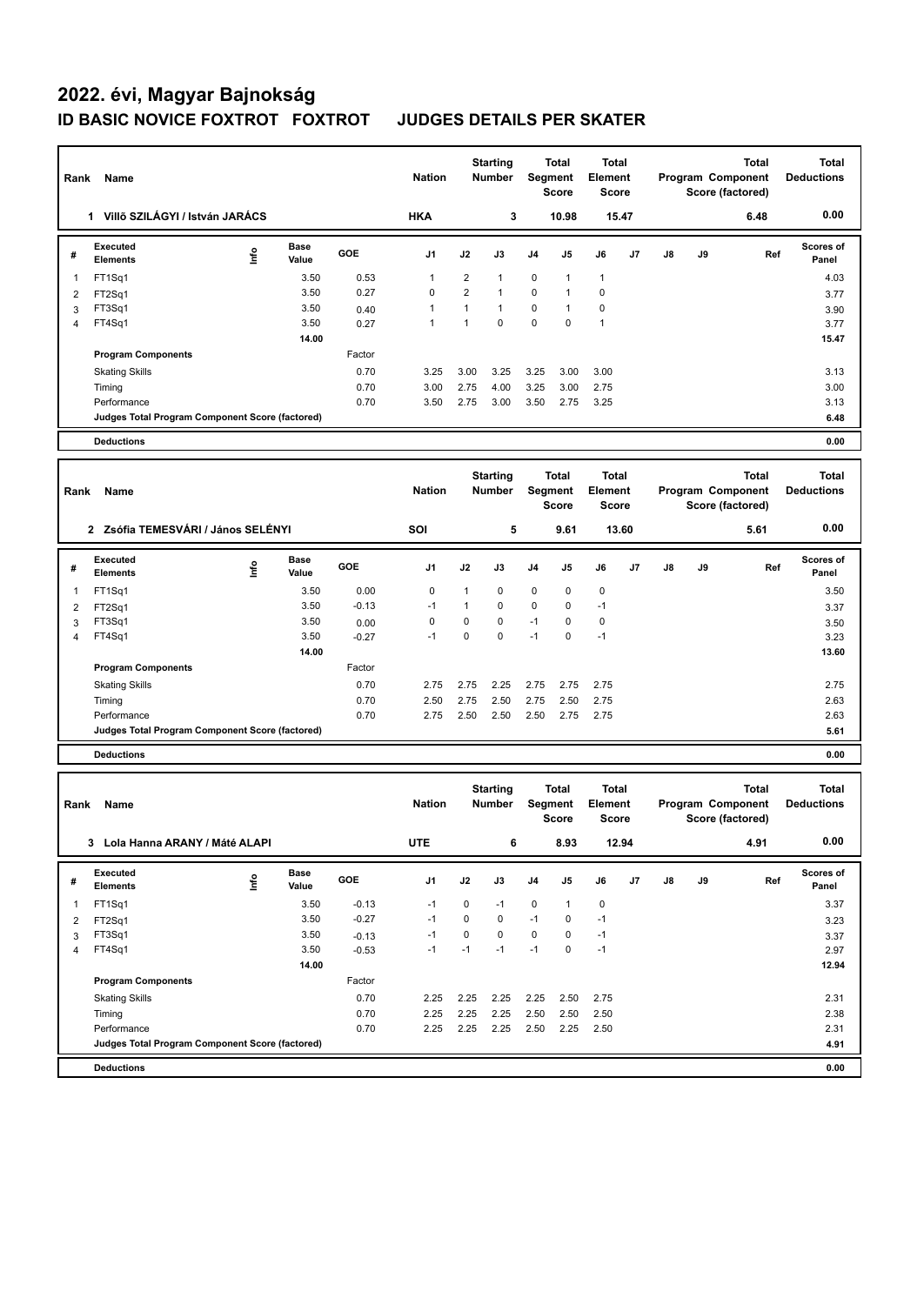## **2022. évi, Magyar Bajnokság ID BASIC NOVICE FOXTROT FOXTROT JUDGES DETAILS PER SKATER**

 $\overline{\phantom{0}}$ 

| Rank           | Name                                            |      |                                            |         | <b>Nation</b>                    |                                  | <b>Starting</b><br>Number               |                                         | Total<br>Segment<br><b>Score</b>                      | Total<br>Element<br><b>Score</b>        |    |                                                       |    | <b>Total</b><br>Program Component<br>Score (factored) | <b>Total</b><br><b>Deductions</b> |
|----------------|-------------------------------------------------|------|--------------------------------------------|---------|----------------------------------|----------------------------------|-----------------------------------------|-----------------------------------------|-------------------------------------------------------|-----------------------------------------|----|-------------------------------------------------------|----|-------------------------------------------------------|-----------------------------------|
|                | 1 Villő SZILÁGYI / István JARÁCS                |      |                                            |         | <b>HKA</b>                       |                                  | 3                                       |                                         | 10.98                                                 | 15.47                                   |    |                                                       |    | 6.48                                                  | 0.00                              |
| #              | <b>Executed</b><br><b>Elements</b>              | lnfo | <b>Base</b><br>Value                       | GOE     | J1                               | J2                               | J3                                      | J4                                      | J5                                                    | J6                                      | J7 | J8                                                    | J9 | Ref                                                   | <b>Scores of</b><br>Panel         |
| 1              | FT1Sq1                                          |      | 3.50                                       | 0.53    | $\mathbf{1}$                     | $\overline{2}$                   | $\mathbf{1}$                            | $\mathbf 0$                             | $\mathbf{1}$                                          | $\mathbf{1}$                            |    |                                                       |    |                                                       | 4.03                              |
| 2              | FT2Sq1                                          |      | 3.50                                       | 0.27    | 0                                | $\overline{2}$                   | 1                                       | 0                                       | 1                                                     | 0                                       |    |                                                       |    |                                                       | 3.77                              |
| 3              | FT3Sq1                                          |      | 3.50                                       | 0.40    | $\mathbf{1}$                     | $\mathbf{1}$                     | 1                                       | 0                                       | $\mathbf{1}$                                          | 0                                       |    |                                                       |    |                                                       | 3.90                              |
| 4              | FT4Sq1                                          |      | 3.50                                       | 0.27    | $\mathbf{1}$                     | $\mathbf{1}$                     | 0                                       | 0                                       | $\mathbf 0$                                           | $\mathbf{1}$                            |    |                                                       |    |                                                       | 3.77                              |
|                |                                                 |      | 14.00                                      |         |                                  |                                  |                                         |                                         |                                                       |                                         |    |                                                       |    |                                                       | 15.47                             |
|                | <b>Program Components</b>                       |      |                                            | Factor  |                                  |                                  |                                         |                                         |                                                       |                                         |    |                                                       |    |                                                       |                                   |
|                | <b>Skating Skills</b>                           |      |                                            | 0.70    | 3.25                             | 3.00                             | 3.25                                    | 3.25                                    | 3.00                                                  | 3.00                                    |    |                                                       |    |                                                       | 3.13                              |
|                | Timing                                          |      |                                            | 0.70    | 3.00                             | 2.75                             | 4.00                                    | 3.25                                    | 3.00                                                  | 2.75                                    |    |                                                       |    |                                                       | 3.00                              |
|                | Performance                                     |      |                                            | 0.70    | 3.50                             | 2.75                             | 3.00                                    | 3.50                                    | 2.75                                                  | 3.25                                    |    |                                                       |    |                                                       | 3.13                              |
|                | Judges Total Program Component Score (factored) |      |                                            |         |                                  |                                  |                                         |                                         |                                                       |                                         |    |                                                       |    |                                                       | 6.48                              |
|                | <b>Deductions</b>                               |      |                                            |         |                                  |                                  |                                         |                                         |                                                       |                                         |    |                                                       |    |                                                       | 0.00                              |
|                | Name<br>Rank                                    |      |                                            |         | <b>Nation</b>                    | <b>Starting</b><br><b>Number</b> |                                         | <b>Total</b><br>Segment<br><b>Score</b> |                                                       | <b>Total</b><br>Element<br><b>Score</b> |    | <b>Total</b><br>Program Component<br>Score (factored) |    |                                                       | <b>Total</b><br><b>Deductions</b> |
|                | 2 Zsófia TEMESVÁRI / János SELÉNYI              |      |                                            |         | SOI                              |                                  | 5                                       |                                         | 9.61                                                  | 13.60                                   |    |                                                       |    | 5.61                                                  | 0.00                              |
| #              | <b>Executed</b><br><b>Elements</b>              | lnfo | <b>Base</b><br>Value                       | GOE     | J1                               | J2                               | J3                                      | J <sub>4</sub>                          | J5                                                    | J6                                      | J7 | $\mathsf{J}8$                                         | J9 | Ref                                                   | <b>Scores of</b><br>Panel         |
| 1              | FT1Sq1                                          |      | 3.50                                       | 0.00    | 0                                | $\mathbf{1}$                     | 0                                       | $\mathbf 0$                             | $\mathbf 0$                                           | 0                                       |    |                                                       |    |                                                       | 3.50                              |
| 2              | FT2Sq1                                          |      | 3.50                                       | $-0.13$ | $-1$                             | $\mathbf{1}$                     | 0                                       | 0                                       | $\mathbf 0$                                           | $-1$                                    |    |                                                       |    |                                                       | 3.37                              |
| 3              | FT3Sq1                                          |      | 3.50                                       | 0.00    | 0                                | 0                                | 0                                       | $-1$                                    | $\mathbf 0$                                           | 0                                       |    |                                                       |    |                                                       | 3.50                              |
| $\overline{4}$ | FT4Sq1                                          |      | 3.50                                       | $-0.27$ | $-1$                             | $\mathbf 0$                      | $\Omega$                                | $-1$                                    | $\mathbf 0$                                           | $-1$                                    |    |                                                       |    |                                                       | 3.23                              |
|                |                                                 |      | 14.00                                      |         |                                  |                                  |                                         |                                         |                                                       |                                         |    |                                                       |    |                                                       | 13.60                             |
|                | <b>Program Components</b>                       |      |                                            | Factor  |                                  |                                  |                                         |                                         |                                                       |                                         |    |                                                       |    |                                                       |                                   |
|                | <b>Skating Skills</b>                           |      |                                            | 0.70    | 2.75                             | 2.75                             | 2.25                                    | 2.75                                    | 2.75                                                  | 2.75                                    |    |                                                       |    |                                                       | 2.75                              |
|                | Timing                                          |      |                                            | 0.70    | 2.50                             | 2.75                             | 2.50                                    | 2.75                                    | 2.50                                                  | 2.75                                    |    |                                                       |    |                                                       | 2.63                              |
|                | Performance                                     |      |                                            | 0.70    | 2.75                             | 2.50                             | 2.50                                    | 2.50                                    | 2.75                                                  | 2.75                                    |    |                                                       |    |                                                       | 2.63                              |
|                | Judges Total Program Component Score (factored) |      |                                            |         |                                  |                                  |                                         |                                         |                                                       |                                         |    |                                                       |    |                                                       | 5.61                              |
|                | <b>Deductions</b>                               |      |                                            |         |                                  |                                  |                                         |                                         |                                                       |                                         |    |                                                       |    |                                                       | 0.00                              |
| Rank           | Name                                            |      | <b>Starting</b><br><b>Nation</b><br>Number |         | Total<br>Segment<br><b>Score</b> |                                  | <b>Total</b><br>Element<br><b>Score</b> |                                         | <b>Total</b><br>Program Component<br>Score (factored) |                                         |    | <b>Total</b><br><b>Deductions</b>                     |    |                                                       |                                   |
|                | 3 Lola Hanna ARANY / Máté ALAPI                 |      |                                            |         | <b>UTE</b>                       | 6                                |                                         | 8.93                                    |                                                       | 12.94                                   |    | 4.91                                                  |    |                                                       | 0.00                              |
| #              | Executed                                        | ۴    | <b>Base</b>                                | GOE     | J1                               | J2                               | J3                                      | J4                                      | J5                                                    | J6                                      | J7 | J8                                                    | J9 | Ref                                                   | Scores of                         |
|                | <b>Elements</b>                                 |      | Value                                      |         |                                  |                                  |                                         |                                         |                                                       |                                         |    |                                                       |    |                                                       | Panel                             |
| 1              | FT1Sq1                                          |      | 3.50                                       | $-0.13$ | $-1$                             | 0                                | $-1$                                    | $\mathsf 0$                             | $\mathbf{1}$                                          | $\pmb{0}$                               |    |                                                       |    |                                                       | 3.37                              |
| $\overline{2}$ | FT2Sq1                                          |      | 3.50                                       | $-0.27$ | $-1$                             | 0                                | 0                                       | $-1$                                    | 0                                                     | $-1$                                    |    |                                                       |    |                                                       | 3.23                              |
| 3<br>4         | FT3Sq1<br>FT4Sq1                                |      | 3.50<br>3.50                               | $-0.13$ | $-1$<br>$-1$                     | 0<br>$-1$                        | 0<br>$-1$                               | $\mathbf 0$<br>$-1$                     | $\pmb{0}$<br>$\pmb{0}$                                | $-1$<br>$-1$                            |    |                                                       |    |                                                       | 3.37                              |
|                |                                                 |      | 14.00                                      | $-0.53$ |                                  |                                  |                                         |                                         |                                                       |                                         |    |                                                       |    |                                                       | 2.97<br>12.94                     |
|                | <b>Program Components</b>                       |      |                                            | Factor  |                                  |                                  |                                         |                                         |                                                       |                                         |    |                                                       |    |                                                       |                                   |
|                | <b>Skating Skills</b>                           |      |                                            | 0.70    | 2.25                             | 2.25                             | 2.25                                    | 2.25                                    | 2.50                                                  | 2.75                                    |    |                                                       |    |                                                       | 2.31                              |
|                | Timing                                          |      |                                            | 0.70    | 2.25                             | 2.25                             | 2.25                                    | 2.50                                    | 2.50                                                  | 2.50                                    |    |                                                       |    |                                                       | 2.38                              |
|                | Performance                                     |      |                                            | 0.70    | 2.25                             | 2.25                             | 2.25                                    | 2.50                                    | 2.25                                                  | 2.50                                    |    |                                                       |    |                                                       | 2.31                              |
|                | Judges Total Program Component Score (factored) |      |                                            |         |                                  |                                  |                                         |                                         |                                                       |                                         |    |                                                       |    |                                                       | 4.91                              |
|                | <b>Deductions</b>                               |      |                                            |         |                                  |                                  |                                         |                                         |                                                       |                                         |    |                                                       |    |                                                       | 0.00                              |
|                |                                                 |      |                                            |         |                                  |                                  |                                         |                                         |                                                       |                                         |    |                                                       |    |                                                       |                                   |